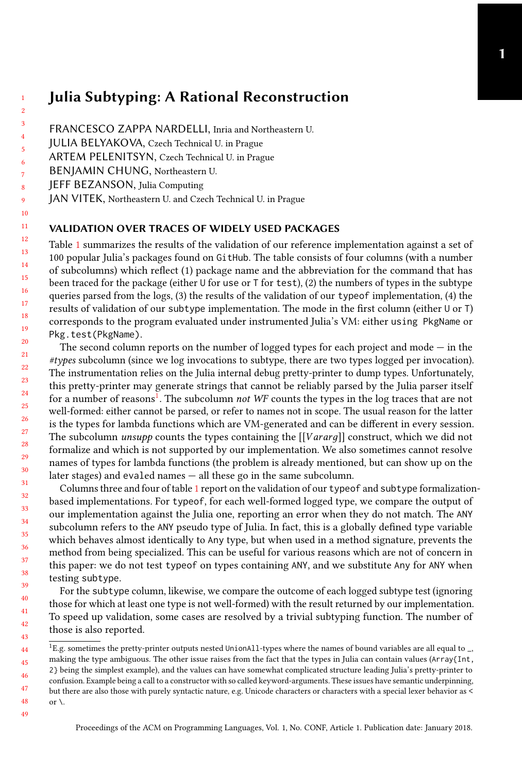## Julia Subtyping: A Rational Reconstruction

- FRANCESCO ZAPPA NARDELLI, Inria and Northeastern U.
- JULIA BELYAKOVA, Czech Technical U. in Prague
- ARTEM PELENITSYN, Czech Technical U. in Prague
- BENJAMIN CHUNG, Northeastern U.
- JEFF BEZANSON, Julia Computing

49

JAN VITEK, Northeastern U. and Czech Technical U. in Prague

## VALIDATION OVER TRACES OF WIDELY USED PACKAGES

Table [1](#page-0-0) summarizes the results of the validation of our reference implementation against a set of 100 popular Julia's packages found on GitHub. The table consists of four columns (with a number of subcolumns) which reflect (1) package name and the abbreviation for the command that has been traced for the package (either U for use or T for test), (2) the numbers of types in the subtype queries parsed from the logs, (3) the results of the validation of our typeof implementation, (4) the results of validation of our subtype implementation. The mode in the first column (either U or T) corresponds to the program evaluated under instrumented Julia's VM: either using PkgName or Pkg.test(PkgName).

The second column reports on the number of logged types for each project and mode  $-$  in the #types subcolumn (since we log invocations to subtype, there are two types logged per invocation). The instrumentation relies on the Julia internal debug pretty-printer to dump types. Unfortunately, this pretty-printer may generate strings that cannot be reliably parsed by the Julia parser itself for a number of reasons<sup>[1](#page-0-1)</sup>. The subcolumn *not WF* counts the types in the log traces that are not well-formed: either cannot be parsed, or refer to names not in scope. The usual reason for the latter is the types for lambda functions which are VM-generated and can be different in every session. The subcolumn *unsupp* counts the types containing the  $[[Vararg]]$  construct, which we did not formalize and which is not supported by our implementation. We also sometimes cannot resolve names of types for lambda functions (the problem is already mentioned, but can show up on the later stages) and evaled names — all these go in the same subcolumn.

Columns three and four of table [1](#page-0-0) report on the validation of our typeof and subtype formalizationbased implementations. For typeof, for each well-formed logged type, we compare the output of our implementation against the Julia one, reporting an error when they do not match. The ANY subcolumn refers to the ANY pseudo type of Julia. In fact, this is a globally defined type variable which behaves almost identically to Any type, but when used in a method signature, prevents the method from being specialized. This can be useful for various reasons which are not of concern in this paper: we do not test typeof on types containing ANY, and we substitute Any for ANY when testing subtype.

For the subtype column, likewise, we compare the outcome of each logged subtype test (ignoring those for which at least one type is not well-formed) with the result returned by our implementation. To speed up validation, some cases are resolved by a trivial subtyping function. The number of those is also reported.

<span id="page-0-1"></span><span id="page-0-0"></span><sup>44</sup> 45 46 47 48  $^1$ E.g. sometimes the pretty-printer outputs nested UnionAll-types where the names of bound variables are all equal to  $\_$ , making the type ambiguous. The other issue raises from the fact that the types in Julia can contain values (Array{Int, 2} being the simplest example), and the values can have somewhat complicated structure leading Julia's pretty-printer to confusion. Example being a call to a constructor with so called keyword-arguments. These issues have semantic underpinning, but there are also those with purely syntactic nature, e.g. Unicode characters or characters with a special lexer behavior as < or  $\setminus$ .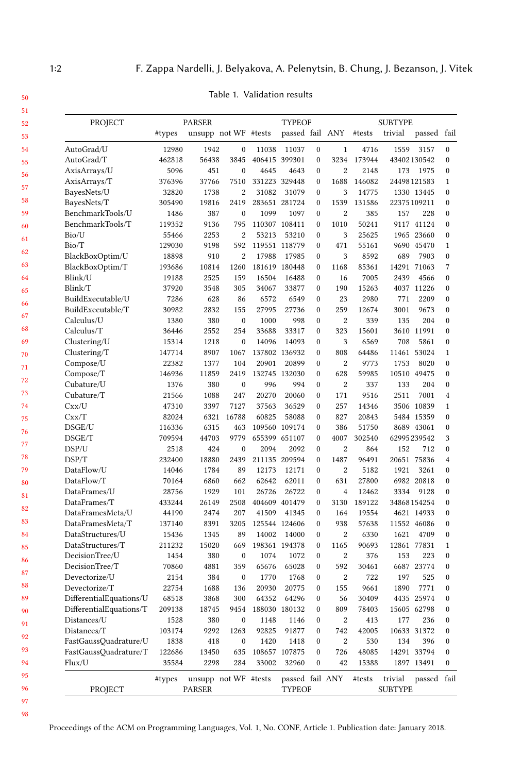| PROJECT                                         |        | <b>PARSER</b>        |                  |       | <b>TYPEOF</b>   |                  |                  | <b>SUBTYPE</b> |                |             |                  |
|-------------------------------------------------|--------|----------------------|------------------|-------|-----------------|------------------|------------------|----------------|----------------|-------------|------------------|
|                                                 | #types | unsupp not WF #tests |                  |       | passed fail ANY |                  |                  | #tests         | trivial        | passed fail |                  |
| AutoGrad/U                                      | 12980  | 1942                 | $\boldsymbol{0}$ | 11038 | 11037           | $\boldsymbol{0}$ | $\mathbf{1}$     | 4716           | 1559           | 3157        | $\boldsymbol{0}$ |
| AutoGrad/T                                      | 462818 | 56438                | 3845             |       | 406415 399301   | $\mathbf{0}$     | 3234             | 173944         |                | 43402130542 | 0                |
| AxisArrays/U                                    | 5096   | 451                  | $\mathbf{0}$     | 4645  | 4643            | $\mathbf{0}$     | $\overline{c}$   | 2148           | 173            | 1975        | $\theta$         |
| AxisArrays/T                                    | 376396 | 37766                | 7510             |       | 331223 329448   | $\mathbf{0}$     | 1688             | 146082         |                | 24498121583 | $\mathbf{1}$     |
| BayesNets/U                                     | 32820  | 1738                 | $\overline{2}$   | 31082 | 31079           | $\mathbf{0}$     | 3                | 14775          |                | 1330 13445  | 0                |
| BayesNets/T                                     | 305490 | 19816                | 2419             |       | 283651 281724   | $\theta$         | 1539             | 131586         |                | 22375109211 | $\theta$         |
| BenchmarkTools/U                                | 1486   | 387                  | $\mathbf{0}$     | 1099  | 1097            | $\mathbf{0}$     | $\overline{2}$   | 385            | 157            | 228         | 0                |
| BenchmarkTools/T                                | 119352 | 9136                 | 795              |       | 110307 108411   | $\mathbf{0}$     | 1010             | 50241          |                | 9117 41124  | 0                |
| Bio/U                                           | 55466  | 2253                 | $\overline{2}$   | 53213 | 53210           | $\mathbf{0}$     | 3                | 25625          |                | 1965 23660  | $\mathbf{0}$     |
| Bio/T                                           | 129030 | 9198                 | 592              |       | 119551 118779   | $\mathbf{0}$     | 471              | 55161          |                | 9690 45470  | $\mathbf{1}$     |
| BlackBoxOptim/U                                 | 18898  | 910                  | $\overline{2}$   | 17988 | 17985           | $\mathbf{0}$     | 3                | 8592           | 689            | 7903        | $\mathbf{0}$     |
| BlackBoxOptim/T                                 | 193686 | 10814                | 1260             |       | 181619 180448   | $\mathbf{0}$     | 1168             | 85361          |                | 14291 71063 | 7                |
| Blink/U                                         | 19188  | 2525                 | 159              | 16504 | 16488           | $\mathbf{0}$     | 16               | 7005           | 2439           | 4566        | $\mathbf{0}$     |
| Blink/T                                         | 37920  | 3548                 | 305              | 34067 | 33877           | $\mathbf{0}$     | 190              | 15263          |                | 4037 11226  | $\mathbf{0}$     |
| BuildExecutable/U                               | 7286   | 628                  | 86               | 6572  | 6549            | $\mathbf{0}$     | 23               | 2980           | 771            | 2209        | $\mathbf{0}$     |
| BuildExecutable/T                               | 30982  | 2832                 | 155              | 27995 | 27736           | $\mathbf{0}$     | 259              | 12674          | 3001           | 9673        | 0                |
| Calculus/U                                      | 1380   | 380                  | $\boldsymbol{0}$ | 1000  | 998             | $\mathbf{0}$     | $\overline{2}$   | 339            | 135            | 204         | $\mathbf{0}$     |
| Calculus/T                                      | 36446  | 2552                 | 254              | 33688 | 33317           | $\mathbf{0}$     | 323              | 15601          |                | 3610 11991  | $\mathbf{0}$     |
| Clustering/U                                    | 15314  | 1218                 | $\mathbf{0}$     | 14096 | 14093           | $\mathbf{0}$     | 3                | 6569           | 708            | 5861        | 0                |
| Clustering/T                                    | 147714 | 8907                 | 1067             |       | 137802 136932   | $\mathbf{0}$     | 808              | 64486          | 11461          | 53024       | $\mathbf{1}$     |
| Compose/U                                       | 22382  | 1377                 | 104              | 20901 | 20899           | $\mathbf{0}$     | $\overline{2}$   | 9773           | 1753           | 8020        | $\mathbf{0}$     |
| Compose/T                                       | 146936 | 11859                | 2419             |       | 132745 132030   | $\mathbf{0}$     | 628              | 59985          |                | 10510 49475 | 0                |
| Cubature/U                                      | 1376   | 380                  | $\boldsymbol{0}$ | 996   | 994             | $\mathbf{0}$     | $\overline{2}$   | 337            | 133            | 204         | 0                |
| Cubature/T                                      | 21566  | 1088                 | 247              | 20270 | 20060           | $\mathbf{0}$     | 171              | 9516           | 2511           | 7001        | 4                |
| Cx x / U                                        | 47310  | 3397                 | 7127             | 37563 | 36529           | $\mathbf{0}$     | 257              | 14346          |                | 3506 10839  | 1                |
| Cx x/T                                          | 82024  | 6321                 | 16788            | 60825 | 58088           | $\mathbf{0}$     | 827              | 20843          |                | 5484 15359  | $\mathbf{0}$     |
| DSGE/U                                          | 116336 | 6315                 | 463              |       | 109560 109174   | $\mathbf{0}$     | 386              | 51750          |                | 8689 43061  | 0                |
| DSGE/T                                          | 709594 | 44703                | 9779             |       | 655399 651107   | $\mathbf{0}$     | 4007             | 302540         |                | 62995239542 | 3                |
| DSP/U                                           | 2518   | 424                  | $\mathbf{0}$     | 2094  | 2092            | $\mathbf{0}$     | $\boldsymbol{2}$ | 864            | 152            | 712         | $\bf{0}$         |
| DSP/T                                           | 232400 | 18880                | 2439             |       | 211135 209594   | $\mathbf{0}$     | 1487             | 96491          |                | 20651 75836 | 4                |
| DataFlow/U                                      | 14046  | 1784                 | 89               | 12173 | 12171           | $\theta$         | $\overline{2}$   | 5182           | 1921           | 3261        | $\mathbf{0}$     |
| DataFlow/T                                      | 70164  | 6860                 | 662              | 62642 | 62011           | $\mathbf{0}$     | 631              | 27800          |                | 6982 20818  | 0                |
| DataFrames/U                                    | 28756  | 1929                 | 101              | 26726 | 26722           | $\mathbf{0}$     | $\overline{4}$   | 12462          | 3334           | 9128        | 0                |
| DataFrames/T                                    | 433244 | 26149                | 2508             |       | 404609 401479   | $\mathbf{0}$     | 3130             | 189122         |                | 34868154254 | 0                |
| DataFramesMeta/U                                | 44190  | 2474                 | 207              | 41509 | 41345           | $\mathbf{0}$     | 164              | 19554          |                | 4621 14933  | 0                |
| DataFramesMeta/T                                | 137140 | 8391                 | 3205             |       | 125544 124606   | $\mathbf{0}$     | 938              | 57638          |                | 11552 46086 | 0                |
| DataStructures/U                                | 15436  | 1345                 | 89               | 14002 | 14000           | $\mathbf{0}$     | $\overline{2}$   | 6330           | 1621           | 4709        | $\mathbf{0}$     |
| DataStructures/T                                | 211232 | 15020                | 669              |       | 198361 194378   | $\mathbf{0}$     | 1165             | 90693          |                | 12861 77831 | $\mathbf{1}$     |
| DecisionTree/U                                  | 1454   | 380                  | $\boldsymbol{0}$ | 1074  | 1072            | $\mathbf{0}$     | 2                | 376            | 153            | 223         | 0                |
| DecisionTree/T                                  | 70860  | 4881                 | 359              | 65676 | 65028           | $\mathbf{0}$     | 592              | 30461          | 6687           | 23774       | $\mathbf{0}$     |
| Devectorize/U                                   | 2154   | 384                  | $\mathbf{0}$     | 1770  | 1768            | $\mathbf{0}$     | $\overline{2}$   | 722            | 197            | 525         | 0                |
| Devectorize/T                                   | 22754  | 1688                 | 136              | 20930 | 20775           | 0                | 155              | 9661           | 1890           | 7771        | $\bf{0}$         |
| DifferentialEquations/U                         | 68518  | 3868                 | 300              | 64352 | 64296           | $\boldsymbol{0}$ | 56               | 30409          |                | 4435 25974  | 0                |
| $\text{Differential} \text{Equations}/\text{T}$ | 209138 | 18745                | 9454             |       | 188030 180132   | $\bf{0}$         | 809              | 78403          |                | 15605 62798 | 0                |
| Distances/U                                     | 1528   | 380                  | 0                | 1148  | 1146            | 0                | $\,2$            | 413            | 177            | 236         | 0                |
| Distances/T                                     | 103174 | 9292                 | 1263             | 92825 | 91877           | $\bf{0}$         | 742              | 42005          |                | 10633 31372 | 0                |
| FastGaussOuadrature/U                           | 1838   | 418                  | $\boldsymbol{0}$ | 1420  | 1418            | 0                | $\,2$            | 530            | 134            | 396         | 0                |
| FastGaussQuadrature/T                           | 122686 | 13450                | 635              |       | 108657 107875   | 0                | 726              | 48085          |                | 14291 33794 | 0                |
| Flux/U                                          | 35584  | 2298                 | 284              | 33002 | 32960           | $\bf{0}$         | 42               | 15388          |                | 1897 13491  | 0                |
|                                                 | #types | unsupp not WF #tests |                  |       | passed fail ANY |                  |                  | #tests         | trivial        | passed fail |                  |
| PROJECT                                         |        | <b>PARSER</b>        |                  |       | TYPEOF          |                  |                  |                | <b>SUBTYPE</b> |             |                  |

98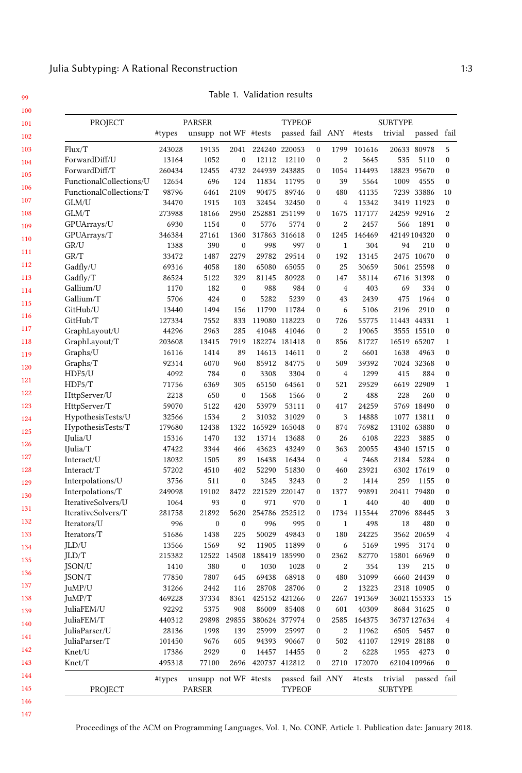Table 1. Validation results

| PROJECT                       |                 | <b>PARSER</b> |                         |                    | <b>TYPEOF</b>   |                                      |                       | <b>SUBTYPE</b>       |                |                           |                              |  |
|-------------------------------|-----------------|---------------|-------------------------|--------------------|-----------------|--------------------------------------|-----------------------|----------------------|----------------|---------------------------|------------------------------|--|
|                               | #types          |               | unsupp not WF #tests    |                    | passed fail ANY |                                      |                       | #tests               | trivial        | passed fail               |                              |  |
| Flux/T                        | 243028          | 19135         | 2041                    |                    | 224240 220053   | 0                                    | 1799                  | 101616               |                | 20633 80978               | 5                            |  |
| ForwardDiff/U                 | 13164           | 1052          | $\boldsymbol{0}$        | 12112              | 12110           | $\boldsymbol{0}$                     | $\overline{2}$        | 5645                 | 535            | 5110                      | $\mathbf{0}$                 |  |
| ForwardDiff/T                 | 260434          | 12455         | 4732                    |                    | 244939 243885   | $\boldsymbol{0}$                     | 1054                  | 114493               | 18823          | 95670                     | $\mathbf{0}$                 |  |
| FunctionalCollections/U       | 12654           | 696           | 124                     | 11834              | 11795           | $\boldsymbol{0}$                     | 39                    | 5564                 | 1009           | 4555                      | $\mathbf{0}$                 |  |
| FunctionalCollections/T       | 98796           | 6461          | 2109                    | 90475              | 89746           | $\boldsymbol{0}$                     | 480                   | 41135                |                | 7239 33886                | 10                           |  |
| GLM/U                         | 34470           | 1915          | 103                     | 32454              | 32450           | $\boldsymbol{0}$                     | $\overline{4}$        | 15342                |                | 3419 11923                | $\mathbf{0}$                 |  |
| GLM/T                         | 273988          | 18166         | 2950                    |                    | 252881 251199   | $\boldsymbol{0}$                     | 1675                  | 117177               | 24259          | 92916                     | 2                            |  |
| GPUArrays/U                   | 6930            | 1154          | $\boldsymbol{0}$        | 5776               | 5774            | $\boldsymbol{0}$                     | $\overline{2}$        | 2457                 | 566            | 1891                      | $\mathbf{0}$                 |  |
| GPUArrays/T                   | 346384          | 27161         | 1360                    |                    | 317863 316618   | 0                                    | 1245                  | 146469               |                | 42149104320               | $\mathbf{0}$                 |  |
| GR/U                          | 1388            | 390           | $\bf{0}$                | 998                | 997             | 0                                    | $\mathbf{1}$          | 304                  | 94             | 210                       | $\bf{0}$                     |  |
| GR/T                          | 33472           | 1487          | 2279                    | 29782              | 29514           | $\boldsymbol{0}$                     | 192                   | 13145                |                | 2475 10670                | $\mathbf{0}$                 |  |
| Gadfly/U                      | 69316           | 4058          | 180                     | 65080              | 65055           | $\boldsymbol{0}$                     | 25                    | 30659                |                | 5061 25598                | $\mathbf{0}$                 |  |
| Gadfly/T                      | 86524           | 5122          | 329                     | 81145              | 80928           | $\boldsymbol{0}$                     | 147                   | 38114                |                | 6716 31398                | $\bf{0}$                     |  |
| Gallium/U                     | 1170            | 182           | $\boldsymbol{0}$        | 988                | 984             | $\boldsymbol{0}$                     | $\overline{4}$        | 403                  | 69             | 334                       | $\mathbf{0}$                 |  |
| Gallium/T                     | 5706            | 424           | $\boldsymbol{0}$        | 5282               | 5239            | $\boldsymbol{0}$                     | 43                    | 2439                 | 475            | 1964                      | $\mathbf{0}$                 |  |
| GitHub/U                      | 13440           | 1494          | 156                     | 11790              | 11784           | $\boldsymbol{0}$                     | 6                     | 5106                 | 2196           | 2910                      | $\mathbf{0}$                 |  |
| GitHub/T                      | 127334          | 7552          | 833                     |                    | 119080 118223   | 0                                    | 726                   | 55775                |                | 11443 44331               | $\mathbf{1}$                 |  |
| GraphLayout/U                 | 44296           | 2963          | 285                     | 41048              | 41046           | 0                                    | $\overline{2}$        | 19065                |                | 3555 15510                | $\mathbf{0}$                 |  |
| GraphLayout/T                 | 203608          | 13415         | 7919                    |                    | 182274 181418   | $\boldsymbol{0}$                     | 856                   | 81727                | 16519          | 65207                     | 1                            |  |
| Graphs/U                      | 16116           | 1414          | 89                      | 14613              | 14611           | 0                                    | $\boldsymbol{2}$      | 6601                 | 1638           | 4963                      | $\mathbf{0}$                 |  |
| Graphs/T                      | 92314           | 6070          | 960                     | 85912              | 84775           | 0                                    | 509                   | 39392                |                | 7024 32368                | $\mathbf{0}$                 |  |
| HDF5/U                        | 4092            | 784           | $\boldsymbol{0}$        | 3308               | 3304            | $\boldsymbol{0}$                     | $\overline{4}$        | 1299                 | 415            | 884                       | $\mathbf{0}$                 |  |
| HDF5/T                        | 71756           | 6369          | 305                     | 65150              | 64561           | $\boldsymbol{0}$                     | 521                   | 29529                |                | 6619 22909                | $\mathbf{1}$                 |  |
| HttpServer/U                  | 2218            | 650           | $\boldsymbol{0}$        | 1568               | 1566            | 0                                    | $\overline{2}$        | 488                  | 228            | 260                       | $\mathbf{0}$                 |  |
| HttpServer/T                  | 59070           | 5122          | 420                     | 53979              | 53111           | $\boldsymbol{0}$                     | 417                   | 24259                |                | 5769 18490                | $\mathbf{0}$                 |  |
| HypothesisTests/U             | 32566           | 1534          | 2                       | 31032              | 31029           | 0                                    | 3                     | 14888                |                | 1077 13811                | $\mathbf{0}$                 |  |
| HypothesisTests/T             | 179680          | 12438         | 1322                    |                    | 165929 165048   | 0                                    | 874                   | 76982                |                | 13102 63880               | $\mathbf{0}$                 |  |
| IJulia/U                      | 15316           | 1470          | 132                     | 13714              | 13688           | $\boldsymbol{0}$                     | 26                    | 6108                 | 2223           | 3885                      | $\mathbf{0}$                 |  |
| IJulia/T                      | 47422           | 3344          | 466                     | 43623              | 43249           | 0                                    | 363                   | 20055                |                | 4340 15715                | $\mathbf{0}$                 |  |
| Interact/U                    | 18032           | 1505          | 89                      | 16438              | 16434           | $\boldsymbol{0}$                     | $\overline{4}$        | 7468                 | 2184           | 5284                      | $\mathbf{0}$                 |  |
| Interact/T                    | 57202           | 4510          | 402                     | 52290              | 51830           | $\boldsymbol{0}$                     | 460                   | 23921                |                | 6302 17619                | $\mathbf{0}$                 |  |
| Interpolations/U              | 3756            | 511           | $\bf{0}$                | 3245               | 3243            | $\mathbf{0}$                         | $\overline{c}$        | 1414                 | 259            | 1155                      | $\mathbf{0}$                 |  |
| Interpolations/T              | 249098          | 19102         | 8472                    | 221529             | 220147          | $\boldsymbol{0}$                     | 1377                  | 99891                | 20411          | 79480                     | $\mathbf{0}$                 |  |
| IterativeSolvers/U            | 1064            | 93            | $\boldsymbol{0}$        | 971                | 970             | 0                                    | $\mathbf{1}$          | 440                  | 40             | 400                       | $\boldsymbol{0}$             |  |
| IterativeSolvers/T            | 281758          | 21892         | 5620                    |                    | 254786 252512   | $\mathbf{0}$                         | 1734                  | 115544               |                | 27096 88445               | 3                            |  |
| Iterators/U                   | 996             | $\mathbf{0}$  | $\mathbf{0}$            | 996                | 995<br>49843    | $\boldsymbol{0}$                     | $\mathbf{1}$          | 498                  | 18             | 480<br>3562 20659         | $\mathbf{0}$                 |  |
| Iterators/T                   | 51686           | 1438          | 225                     | 50029<br>11905     |                 | $\mathbf{0}$                         | 180                   | 24225                |                |                           | $\overline{4}$               |  |
| JLD/U                         | 13566           | 1569<br>12522 | 92                      |                    | 11899           | 0<br>$\boldsymbol{0}$                | 6                     | 5169<br>82770        | 1995           | 3174                      | $\bf{0}$<br>$\mathbf{0}$     |  |
| JLD/T                         | 215382          |               | 14508                   |                    | 188419 185990   |                                      | 2362                  |                      |                | 15801 66969               |                              |  |
| JSON/U<br>JSON/T              | 1410<br>77850   | 380<br>7807   | $\boldsymbol{0}$<br>645 | 1030<br>69438      | 1028<br>68918   | $\boldsymbol{0}$<br>$\boldsymbol{0}$ | $\overline{2}$<br>480 | 354<br>31099         | 139            | 215<br>6660 24439         | $\mathbf{0}$<br>$\mathbf{0}$ |  |
|                               |                 | 2442          | 116                     |                    | 28708 28706     | $\mathbf{0}$                         |                       | 13223                |                | 2318 10905                | $\boldsymbol{0}$             |  |
| JuMP/U<br>JuMP/T              | 31266<br>469228 | 37334         |                         | 8361 425152 421266 |                 |                                      | $\boldsymbol{2}$      |                      |                |                           |                              |  |
| JuliaFEM/U                    | 92292           | 5375          | 908                     | 86009              | 85408           | 0<br>0                               | 601                   | 2267 191369<br>40309 |                | 36021155333<br>8684 31625 | 15<br>0                      |  |
| JuliaFEM/T                    | 440312          | 29898         | 29855                   |                    | 380624 377974   | 0                                    | 2585                  | 164375               |                | 36737127634               | 4                            |  |
| $\text{JuliaParser}/\text{U}$ | 28136           | 1998          | 139                     | 25999              | 25997           | 0                                    | $\sqrt{2}$            | 11962                |                | 6505 5457                 | 0                            |  |
| JuliaParser/T                 | 101450          | 9676          | 605                     | 94393              | 90667           | 0                                    | 502                   | 41107                |                | 12919 28188               |                              |  |
| Knet/U                        | 17386           | 2929          | 0                       | 14457              | 14455           | 0                                    | $\boldsymbol{2}$      | 6228                 | 1955           | 4273                      | 0<br>0                       |  |
| Knet/T                        | 495318          | 77100         |                         | 2696 420737 412812 |                 | 0                                    |                       | 2710 172070          |                | 62104109966               |                              |  |
|                               | #types          |               | unsupp not WF #tests    |                    | passed fail ANY |                                      |                       | #tests               | trivial        | passed fail               | 0                            |  |
| PROJECT                       |                 | <b>PARSER</b> |                         |                    | <b>TYPEOF</b>   |                                      |                       |                      | <b>SUBTYPE</b> |                           |                              |  |

<sup>147</sup>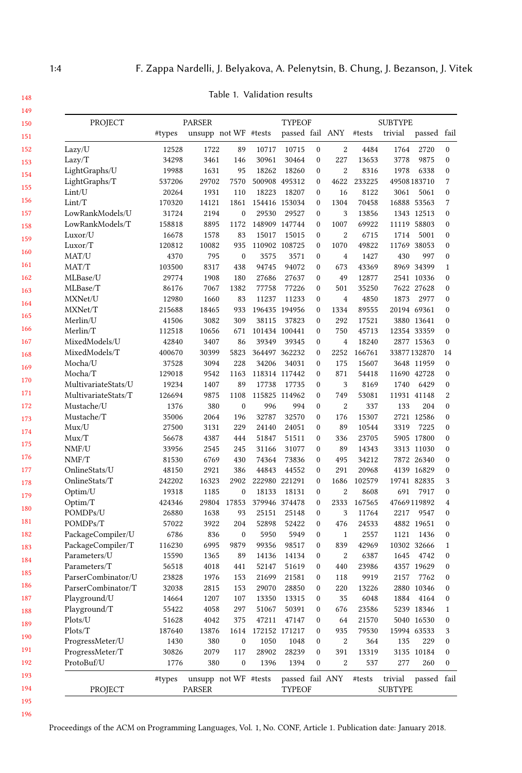| PROJECT             |        | <b>PARSER</b>        |                  |       | <b>TYPEOF</b>        |                  |                  | <b>SUBTYPE</b> |                |             |                |
|---------------------|--------|----------------------|------------------|-------|----------------------|------------------|------------------|----------------|----------------|-------------|----------------|
|                     | #types | unsupp not WF #tests |                  |       | passed fail ANY      |                  |                  | #tests         | trivial        | passed      | fail           |
| Lazy/U              | 12528  | 1722                 | 89               | 10717 | 10715                | $\bf{0}$         | 2                | 4484           | 1764           | 2720        | 0              |
| Lazy/T              | 34298  | 3461                 | 146              | 30961 | 30464                | $\boldsymbol{0}$ | 227              | 13653          | 3778           | 9875        | $\mathbf{0}$   |
| LightGraphs/U       | 19988  | 1631                 | 95               | 18262 | 18260                | $\boldsymbol{0}$ | $\overline{2}$   | 8316           | 1978           | 6338        | 0              |
| LightGraphs/T       | 537206 | 29702                | 7570             |       | 500908 495312        | $\boldsymbol{0}$ | 4622             | 233225         |                | 49508183710 | 7              |
| Lint/U              | 20264  | 1931                 | 110              | 18223 | 18207                | $\boldsymbol{0}$ | 16               | 8122           | 3061           | 5061        | $\mathbf{0}$   |
| Limit/T             | 170320 | 14121                | 1861             |       | 154416 153034        | $\boldsymbol{0}$ | 1304             | 70458          |                | 16888 53563 | 7              |
| LowRankModels/U     | 31724  | 2194                 | 0                | 29530 | 29527                | $\boldsymbol{0}$ | 3                | 13856          |                | 1343 12513  | 0              |
| LowRankModels/T     | 158818 | 8895                 | 1172             |       | 148909 147744        | $\mathbf{0}$     | 1007             | 69922          | 11119          | 58803       | $\mathbf{0}$   |
| Luxor/U             | 16678  | 1578                 | 83               | 15017 | 15015                | $\boldsymbol{0}$ | $\boldsymbol{2}$ | 6715           | 1714           | 5001        | 0              |
| Luxor/T             | 120812 | 10082                | 935              |       | 110902 108725        | $\boldsymbol{0}$ | 1070             | 49822          |                | 11769 38053 | 0              |
| MAT/U               | 4370   | 795                  | $\mathbf{0}$     | 3575  | 3571                 | $\boldsymbol{0}$ | $\overline{4}$   | 1427           | 430            | 997         | 0              |
| MAT/T               | 103500 | 8317                 | 438              | 94745 | 94072                | $\mathbf{0}$     | 673              | 43369          |                | 8969 34399  | $\mathbf{1}$   |
| MLBase/U            | 29774  | 1908                 | 180              | 27686 | 27637                | $\boldsymbol{0}$ | 49               | 12877          |                | 2541 10336  | 0              |
| MLBase/T            | 86176  | 7067                 | 1382             | 77758 | 77226                | $\boldsymbol{0}$ | 501              | 35250          |                | 7622 27628  | 0              |
| MXNet/U             | 12980  | 1660                 | 83               | 11237 | 11233                | 0                | $\overline{4}$   | 4850           | 1873           | 2977        | 0              |
| MXNet/T             | 215688 | 18465                | 933              |       | 196435 194956        | $\boldsymbol{0}$ | 1334             | 89555          |                | 20194 69361 | 0              |
| Merlin/U            | 41506  | 3082                 | 309              | 38115 | 37823                | $\boldsymbol{0}$ | 292              | 17521          |                | 3880 13641  | 0              |
| Merlin/T            | 112518 | 10656                | 671              |       | 101434 100441        | 0                | 750              | 45713          |                | 12354 33359 | $\mathbf{0}$   |
| MixedModels/U       | 42840  | 3407                 | 86               | 39349 | 39345                | $\boldsymbol{0}$ | $\overline{4}$   | 18240          |                | 2877 15363  | $\mathbf{0}$   |
| MixedModels/T       | 400670 | 30399                | 5823             |       | 364497 362232        | $\boldsymbol{0}$ | 2252             | 166761         |                | 33877132870 | 14             |
| Mocha/U             | 37528  | 3094                 | 228              | 34206 | 34031                | 0                | 175              | 15607          |                | 3648 11959  | $\mathbf{0}$   |
| Mocha/T             | 129018 | 9542                 | 1163             |       | 118314 117442        | $\mathbf{0}$     | 871              | 54418          |                | 11690 42728 | 0              |
| MultivariateStats/U | 19234  | 1407                 | 89               | 17738 | 17735                | $\boldsymbol{0}$ | 3                | 8169           | 1740           | 6429        | 0              |
|                     |        |                      |                  |       |                      | $\mathbf{0}$     | 749              |                |                |             | $\overline{2}$ |
| MultivariateStats/T | 126694 | 9875                 | 1108             | 996   | 115825 114962<br>994 |                  |                  | 53081          |                | 11931 41148 |                |
| Mustache/U          | 1376   | 380                  | $\mathbf{0}$     |       |                      | $\mathbf{0}$     | $\boldsymbol{2}$ | 337            | 133            | 204         | 0              |
| Mustache/T          | 35006  | 2064                 | 196              | 32787 | 32570                | $\mathbf{0}$     | 176              | 15307          |                | 2721 12586  | 0              |
| Mux/U               | 27500  | 3131                 | 229              | 24140 | 24051                | 0                | 89               | 10544          | 3319           | 7225        | $\mathbf{0}$   |
| Mux/T               | 56678  | 4387                 | 444              | 51847 | 51511                | $\boldsymbol{0}$ | 336              | 23705          |                | 5905 17800  | 0              |
| NMF/U               | 33956  | 2545                 | 245              | 31166 | 31077                | $\boldsymbol{0}$ | 89               | 14343          |                | 3313 11030  | 0              |
| NMF/T               | 81530  | 6769                 | 430              | 74364 | 73836                | 0                | 495              | 34212          |                | 7872 26340  | $\mathbf{0}$   |
| OnlineStats/U       | 48150  | 2921                 | 386              | 44843 | 44552                | $\boldsymbol{0}$ | 291              | 20968          |                | 4139 16829  | 0              |
| OnlineStats/T       | 242202 | 16323                | 2902             |       | 222980 221291        | $\boldsymbol{0}$ | 1686             | 102579         |                | 19741 82835 | 3              |
| Optim/U             | 19318  | 1185                 | $\mathbf{0}$     | 18133 | 18131                | $\mathbf{0}$     | $\overline{2}$   | 8608           | 691            | 7917        | $\mathbf{0}$   |
| Optim/T             | 424346 | 29804                | 17853            |       | 379946 374478        | $\boldsymbol{0}$ | 2333             | 167565         |                | 47669119892 | $\overline{4}$ |
| POMDPs/U            | 26880  | 1638                 | 93               | 25151 | 25148                | $\mathbf{0}$     | 3                | 11764          | 2217           | 9547        | 0              |
| POMDPs/T            | 57022  | 3922                 | 204              | 52898 | 52422                | 0                | 476              | 24533          |                | 4882 19651  | $\mathbf{0}$   |
| PackageCompiler/U   | 6786   | 836                  | $\boldsymbol{0}$ | 5950  | 5949                 | $\mathbf{0}$     | $\mathbf{1}$     | 2557           | 1121           | 1436        | 0              |
| PackageCompiler/T   | 116230 | 6995                 | 9879             | 99356 | 98517                | $\mathbf{0}$     | 839              | 42969          |                | 10302 32666 | $\mathbf{1}$   |
| Parameters/U        | 15590  | 1365                 | 89               | 14136 | 14134                | $\boldsymbol{0}$ | $\overline{2}$   | 6387           | 1645           | 4742        | 0              |
| Parameters/T        | 56518  | 4018                 | 441              | 52147 | 51619                | $\boldsymbol{0}$ | 440              | 23986          |                | 4357 19629  | 0              |
| ParserCombinator/U  | 23828  | 1976                 | 153              | 21699 | 21581                | $\boldsymbol{0}$ | 118              | 9919           | 2157           | 7762        | 0              |
| ParserCombinator/T  | 32038  | 2815                 | 153              | 29070 | 28850                | 0                | 220              | 13226          |                | 2880 10346  | 0              |
| Playground/U        | 14664  | 1207                 | 107              | 13350 | 13315                | 0                | 35               | 6048           | 1884           | 4164        | 0              |
| Playground/T        | 55422  | 4058                 | 297              | 51067 | 50391                | 0                | 676              | 23586          |                | 5239 18346  | 1              |
| Plots/U             | 51628  | 4042                 | 375              | 47211 | 47147                | 0                | 64               | 21570          |                | 5040 16530  | 0              |
| Plots/T             | 187640 | 13876                | 1614             |       | 172152 171217        | $\mathbf{0}$     | 935              | 79530          |                | 15994 63533 | 3              |
| ProgressMeter/U     | 1430   | 380                  | $\boldsymbol{0}$ | 1050  | 1048                 | 0                | $\,2$            | 364            | 135            | 229         | 0              |
| ProgressMeter/T     | 30826  | 2079                 | 117              | 28902 | 28239                | $\mathbf{0}$     | 391              | 13319          |                | 3135 10184  | 0              |
| ProtoBuf/U          | 1776   | 380                  | $\boldsymbol{0}$ | 1396  | 1394                 | $\boldsymbol{0}$ | $\overline{2}$   | 537            | 277            | 260         | 0              |
|                     | #types | unsupp not WF #tests |                  |       | passed fail ANY      |                  |                  | #tests         | trivial        | passed fail |                |
| PROJECT             |        | <b>PARSER</b>        |                  |       | <b>TYPEOF</b>        |                  |                  |                | <b>SUBTYPE</b> |             |                |
|                     |        |                      |                  |       |                      |                  |                  |                |                |             |                |

Table 1. Validation results

196

194 195

Proceedings of the ACM on Programming Languages, Vol. 1, No. CONF, Article 1. Publication date: January 2018.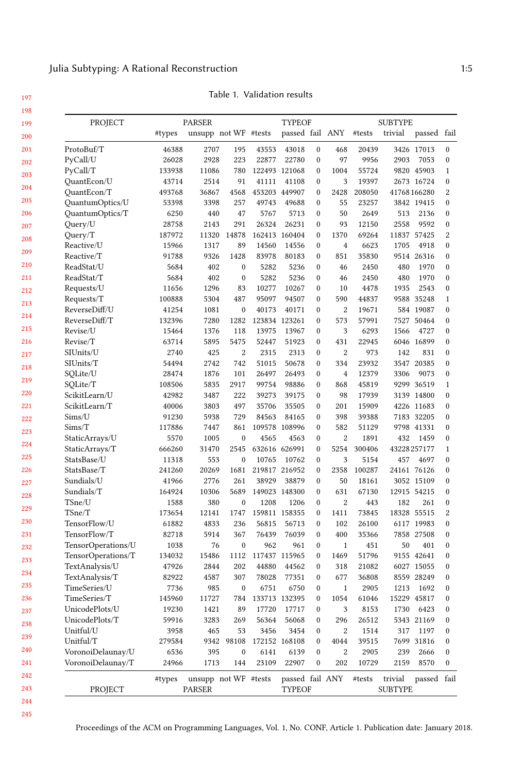| 199 | PROJECT            | <b>PARSER</b> |                      |                  |                      | <b>TYPEOF</b>   |                  |                  | <b>SUBTYPE</b> |                     |             |                  |  |
|-----|--------------------|---------------|----------------------|------------------|----------------------|-----------------|------------------|------------------|----------------|---------------------|-------------|------------------|--|
| 200 |                    | #types        | unsupp not WF #tests |                  |                      | passed fail ANY |                  |                  | #tests         | trivial             | passed fail |                  |  |
| 201 | ProtoBuf/T         | 46388         | 2707                 | 195              | 43553                | 43018           | $\mathbf{0}$     | 468              | 20439          | 3426                | 17013       | $\mathbf{0}$     |  |
| 202 | PyCall/U           | 26028         | 2928                 | 223              | 22877                | 22780           | $\mathbf{0}$     | 97               | 9956           | 2903                | 7053        | $\mathbf{0}$     |  |
| 203 | PyCall/T           | 133938        | 11086                | 780              |                      | 122493 121068   | $\boldsymbol{0}$ | 1004             | 55724          |                     | 9820 45903  | $\mathbf{1}$     |  |
|     | QuantEcon/U        | 43714         | 2514                 | 91               | 41111                | 41108           | $\mathbf{0}$     | 3                | 19397          |                     | 2673 16724  | $\mathbf{0}$     |  |
| 204 | QuantEcon/T        | 493768        | 36867                | 4568             |                      | 453203 449907   | $\mathbf{0}$     | 2428             | 208050         |                     | 41768166280 | $\overline{2}$   |  |
| 205 | QuantumOptics/U    | 53398         | 3398                 | 257              | 49743                | 49688           | $\boldsymbol{0}$ | 55               | 23257          |                     | 3842 19415  | $\boldsymbol{0}$ |  |
| 206 | QuantumOptics/T    | 6250          | 440                  | 47               | 5767                 | 5713            | $\mathbf{0}$     | 50               | 2649           | 513                 | 2136        | $\mathbf{0}$     |  |
| 207 | Query/U            | 28758         | 2143                 | 291              | 26324                | 26231           | $\mathbf{0}$     | 93               | 12150          | 2558                | 9592        | $\mathbf{0}$     |  |
| 208 | Query/T            | 187972        | 11320                | 14878            |                      | 162413 160404   | 0                | 1370             | 69264          |                     | 11837 57425 | $\boldsymbol{2}$ |  |
|     | Reactive/U         | 15966         | 1317                 | 89               | 14560                | 14556           | 0                | $\overline{4}$   | 6623           | 1705                | 4918        | $\boldsymbol{0}$ |  |
| 209 | Reactive/T         | 91788         | 9326                 | 1428             | 83978                | 80183           | $\mathbf{0}$     | 851              | 35830          |                     | 9514 26316  | $\mathbf{0}$     |  |
| 210 | ReadStat/U         | 5684          | 402                  | $\bf{0}$         | 5282                 | 5236            | $\mathbf{0}$     | 46               | 2450           | 480                 | 1970        | $\mathbf{0}$     |  |
| 211 | ReadStat/T         | 5684          | 402                  | $\boldsymbol{0}$ | 5282                 | 5236            | $\boldsymbol{0}$ | 46               | 2450           | 480                 | 1970        | $\boldsymbol{0}$ |  |
| 212 | Requests/U         | 11656         | 1296                 | 83               | 10277                | 10267           | $\mathbf{0}$     | 10               | 4478           | 1935                | 2543        | $\mathbf{0}$     |  |
| 213 | Requests/T         | 100888        | 5304                 | 487              | 95097                | 94507           | 0                | 590              | 44837          |                     | 9588 35248  | $\mathbf{1}$     |  |
|     | ReverseDiff/U      | 41254         | 1081                 | $\boldsymbol{0}$ | 40173                | 40171           | $\boldsymbol{0}$ | $\overline{2}$   | 19671          |                     | 584 19087   | $\boldsymbol{0}$ |  |
| 214 | ReverseDiff/T      | 132396        | 7280                 | 1282             |                      | 123834 123261   | $\mathbf{0}$     | 573              | 57991          | 7527                | 50464       | $\mathbf{0}$     |  |
| 215 | Revise/U           | 15464         | 1376                 | 118              | 13975                | 13967           | 0                | 3                | 6293           | 1566                | 4727        | $\mathbf{0}$     |  |
| 216 | Revise/T           | 63714         | 5895                 | 5475             | 52447                | 51923           | $\boldsymbol{0}$ | 431              | 22945          | 6046                | 16899       | $\boldsymbol{0}$ |  |
| 217 | SIUnits/U          | 2740          | 425                  | $\overline{2}$   | 2315                 | 2313            | $\mathbf{0}$     | $\overline{2}$   | 973            | 142                 | 831         | $\mathbf{0}$     |  |
| 218 | SIUnits/T          | 54494         | 2742                 | 742              | 51015                | 50678           | $\mathbf{0}$     | 334              | 23932          | 3547                | 20385       | $\mathbf{0}$     |  |
|     | SQLite/U           | 28474         | 1876                 | 101              | 26497                | 26493           | $\boldsymbol{0}$ | $\overline{4}$   | 12379          | 3306                | 9073        | $\mathbf{0}$     |  |
| 219 | SQLite/T           | 108506        | 5835                 | 2917             | 99754                | 98886           | $\mathbf{0}$     | 868              | 45819          |                     | 9299 36519  | $\mathbf{1}$     |  |
| 220 | ScikitLearn/U      | 42982         | 3487                 | 222              | 39273                | 39175           | $\mathbf{0}$     | 98               | 17939          |                     | 3139 14800  | $\mathbf{0}$     |  |
| 221 | ScikitLearn/T      | 40006         | 3803                 | 497              | 35706                | 35505           | 0                | 201              | 15909          |                     | 4226 11683  | $\mathbf{0}$     |  |
| 222 | Sims/U             | 91230         | 5938                 | 729              | 84563                | 84165           | $\mathbf{0}$     | 398              | 39388          |                     | 7183 32205  | $\mathbf{0}$     |  |
| 223 | Sims/T             | 117886        | 7447                 | 861              |                      | 109578 108996   | $\mathbf{0}$     | 582              | 51129          |                     | 9798 41331  | $\mathbf{0}$     |  |
|     | StaticArrays/U     | 5570          | 1005                 | $\bf{0}$         | 4565                 | 4563            | $\mathbf{0}$     | $\boldsymbol{2}$ | 1891           | 432                 | 1459        | $\boldsymbol{0}$ |  |
| 224 | StaticArrays/T     | 666260        | 31470                | 2545             | 632616 626991        |                 | $\mathbf{0}$     | 5254             | 300406         |                     | 43228257177 | $\mathbf{1}$     |  |
| 225 | StatsBase/U        | 11318         | 553                  | $\mathbf{0}$     | 10765                | 10762           | $\mathbf{0}$     | 3                | 5154           | 457                 | 4697        | $\mathbf{0}$     |  |
| 226 | StatsBase/T        | 241260        | 20269                | 1681             |                      | 219817 216952   | $\boldsymbol{0}$ | 2358             | 100287         |                     | 24161 76126 | $\boldsymbol{0}$ |  |
| 227 | Sundials/U         | 41966         | 2776                 | 261              | 38929                | 38879           | $\mathbf{0}$     | 50               | 18161          |                     | 3052 15109  | $\mathbf{0}$     |  |
| 228 | Sundials/T         | 164924        | 10306                | 5689             |                      | 149023 148300   | $\mathbf{0}$     | 631              | 67130          | 12915               | 54215       | $\mathbf{0}$     |  |
|     | TSne/U             | 1588          | 380                  | $\boldsymbol{0}$ | 1208                 | 1206            | $\boldsymbol{0}$ | $\boldsymbol{2}$ | 443            | 182                 | 261         | $\boldsymbol{0}$ |  |
| 229 | TSne/T             | 173654        | 12141                | 1747             |                      | 159811 158355   | $\boldsymbol{0}$ | 1411             | 73845          |                     | 18328 55515 | $\overline{c}$   |  |
| 230 | TensorFlow/U       | 61882         | 4833                 | 236              | 56815                | 56713           | $\mathbf{0}$     | 102              | 26100          |                     | 6117 19983  | $\mathbf{0}$     |  |
| 231 | TensorFlow/T       | 82718         | 5914                 | 367              | 76439                | 76039           | $\mathbf{0}$     | 400              | 35366          |                     | 7858 27508  | $\boldsymbol{0}$ |  |
| 232 | TensorOperations/U | 1038          | 76                   | $\bf{0}$         | 962                  | 961             | 0                | $\mathbf{1}$     | 451            | 50                  | 401         | $\boldsymbol{0}$ |  |
| 233 | TensorOperations/T | 134032        | 15486                | 1112             |                      | 117437 115965   | $\mathbf{0}$     | 1469             | 51796          |                     | 9155 42641  | $\mathbf{0}$     |  |
|     | TextAnalysis/U     | 47926         | 2844                 | 202              | 44880                | 44562           | 0                | 318              | 21082          | 6027                | 15055       | $\mathbf{0}$     |  |
| 234 | TextAnalysis/T     | 82922         | 4587                 | 307              | 78028                | 77351           | $\boldsymbol{0}$ | 677              | 36808          |                     | 8559 28249  | $\boldsymbol{0}$ |  |
| 235 | TimeSeries/U       | 7736          | 985                  | $\mathbf{0}$     | 6751                 | 6750            | $\mathbf{0}$     | $\mathbf{1}$     | 2905           | 1213                | 1692        | $\mathbf{0}$     |  |
| 236 | TimeSeries/T       | 145960        | 11727                | 784              |                      | 133713 132395   | $\boldsymbol{0}$ | 1054             | 61046          |                     | 15229 45817 | $\mathbf{0}$     |  |
| 237 | UnicodePlots/U     | 19230         | 1421                 | 89               | 17720                | 17717           | 0                | 3                | 8153           | 1730                | 6423        | $\boldsymbol{0}$ |  |
| 238 | UnicodePlots/T     | 59916         | 3283                 | 269              | 56364                | 56068           | $\mathbf{0}$     | 296              | 26512          |                     | 5343 21169  | $\mathbf{0}$     |  |
|     | Unitful/U          | 3958          | 465                  | 53               | 3456                 | 3454            | $\mathbf{0}$     | $\boldsymbol{2}$ | 1514           | 317                 | 1197        | $\mathbf{0}$     |  |
| 239 | Unitful/T          | 279584        | 9342                 | 98108            | 172152               | 168108          | 0                | 4044             | 39515          | 7699                | 31816       | $\boldsymbol{0}$ |  |
| 240 | VoronoiDelaunay/U  | 6536          | 395                  | $\mathbf{0}$     | 6141                 | 6139            | $\mathbf{0}$     | $\overline{2}$   | 2905           | 239                 | 2666        | $\mathbf{0}$     |  |
| 241 | VoronoiDelaunay/T  | 24966         | 1713                 | 144              | 23109                | 22907           | $\mathbf{0}$     | 202              | 10729          | 2159                | 8570        | $\mathbf{0}$     |  |
| 242 |                    |               |                      |                  | $-1.337T$ $(0.111T)$ |                 |                  |                  |                | and the first party |             | $-1$ $c$ $1$     |  |

Table 1. Validation results

197 198

Proceedings of the ACM on Programming Languages, Vol. 1, No. CONF, Article 1. Publication date: January 2018.

PROJECT PARSER TYPEOF SUBTYPE

#types unsupp not WF #tests passed fail ANY #tests trivial passed fail